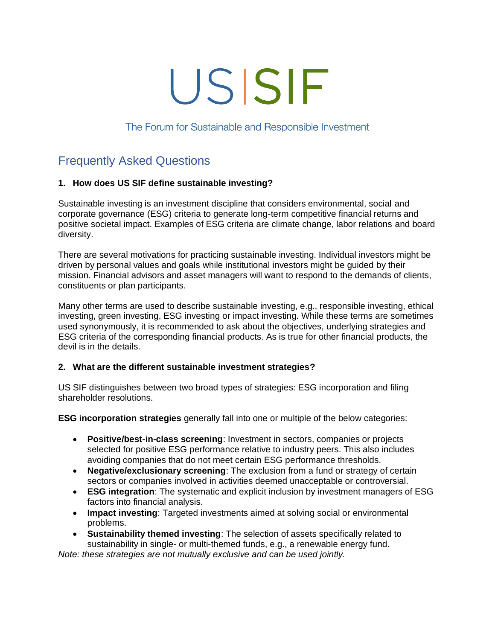# USISIF

The Forum for Sustainable and Responsible Investment

# Frequently Asked Questions

# **1. How does US SIF define sustainable investing?**

Sustainable investing is an investment discipline that considers environmental, social and corporate governance (ESG) criteria to generate long-term competitive financial returns and positive societal impact. Examples of ESG criteria are climate change, labor relations and board diversity.

There are several motivations for practicing sustainable investing. Individual investors might be driven by personal values and goals while institutional investors might be guided by their mission. Financial advisors and asset managers will want to respond to the demands of clients, constituents or plan participants.

Many other terms are used to describe sustainable investing, e.g., responsible investing, ethical investing, green investing, ESG investing or impact investing. While these terms are sometimes used synonymously, it is recommended to ask about the objectives, underlying strategies and ESG criteria of the corresponding financial products. As is true for other financial products, the devil is in the details.

# **2. What are the different sustainable investment strategies?**

US SIF distinguishes between two broad types of strategies: ESG incorporation and filing shareholder resolutions.

**ESG incorporation strategies** generally fall into one or multiple of the below categories:

- **Positive/best-in-class screening**: Investment in sectors, companies or projects selected for positive ESG performance relative to industry peers. This also includes avoiding companies that do not meet certain ESG performance thresholds.
- **Negative/exclusionary screening**: The exclusion from a fund or strategy of certain sectors or companies involved in activities deemed unacceptable or controversial.
- **ESG integration**: The systematic and explicit inclusion by investment managers of ESG factors into financial analysis.
- **Impact investing**: Targeted investments aimed at solving social or environmental problems.
- **Sustainability themed investing**: The selection of assets specifically related to sustainability in single- or multi-themed funds, e.g., a renewable energy fund.

*Note: these strategies are not mutually exclusive and can be used jointly.*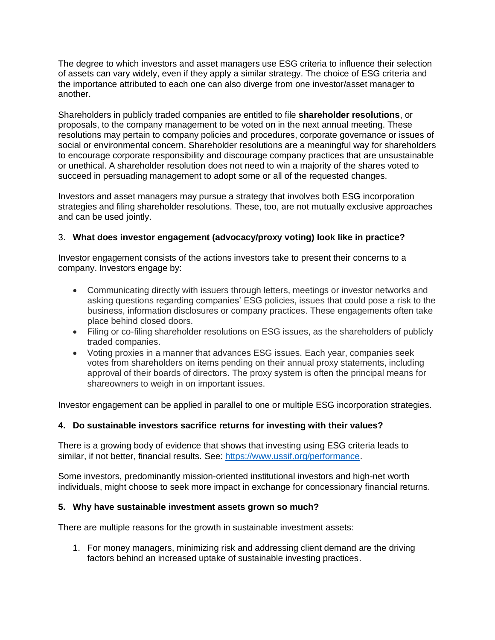The degree to which investors and asset managers use ESG criteria to influence their selection of assets can vary widely, even if they apply a similar strategy. The choice of ESG criteria and the importance attributed to each one can also diverge from one investor/asset manager to another.

Shareholders in publicly traded companies are entitled to file **shareholder resolutions**, or proposals, to the company management to be voted on in the next annual meeting. These resolutions may pertain to company policies and procedures, corporate governance or issues of social or environmental concern. Shareholder resolutions are a meaningful way for shareholders to encourage corporate responsibility and discourage company practices that are unsustainable or unethical. A shareholder resolution does not need to win a majority of the shares voted to succeed in persuading management to adopt some or all of the requested changes.

Investors and asset managers may pursue a strategy that involves both ESG incorporation strategies and filing shareholder resolutions. These, too, are not mutually exclusive approaches and can be used jointly.

# 3. **What does investor engagement (advocacy/proxy voting) look like in practice?**

Investor engagement consists of the actions investors take to present their concerns to a company. Investors engage by:

- Communicating directly with issuers through letters, meetings or investor networks and asking questions regarding companies' ESG policies, issues that could pose a risk to the business, information disclosures or company practices. These engagements often take place behind closed doors.
- Filing or co-filing shareholder resolutions on ESG issues, as the shareholders of publicly traded companies.
- Voting proxies in a manner that advances ESG issues. Each year, companies seek votes from shareholders on items pending on their annual proxy statements, including approval of their boards of directors. The proxy system is often the principal means for shareowners to weigh in on important issues.

Investor engagement can be applied in parallel to one or multiple ESG incorporation strategies.

# **4. Do sustainable investors sacrifice returns for investing with their values?**

There is a growing body of evidence that shows that investing using ESG criteria leads to similar, if not better, financial results. See: [https://www.ussif.org/performance.](https://www.ussif.org/performance)

Some investors, predominantly mission-oriented institutional investors and high-net worth individuals, might choose to seek more impact in exchange for concessionary financial returns.

#### **5. Why have sustainable investment assets grown so much?**

There are multiple reasons for the growth in sustainable investment assets:

1. For money managers, minimizing risk and addressing client demand are the driving factors behind an increased uptake of sustainable investing practices.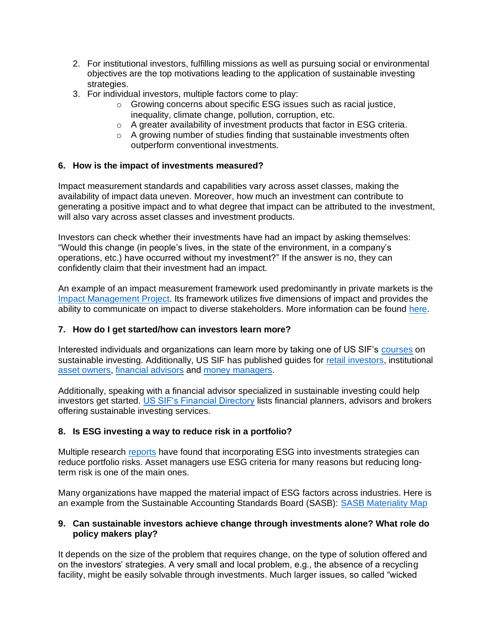- 2. For institutional investors, fulfilling missions as well as pursuing social or environmental objectives are the top motivations leading to the application of sustainable investing strategies.
- 3. For individual investors, multiple factors come to play:
	- $\circ$  Growing concerns about specific ESG issues such as racial justice. inequality, climate change, pollution, corruption, etc.
	- o A greater availability of investment products that factor in ESG criteria.
	- o A growing number of studies finding that sustainable investments often outperform conventional investments.

# **6. How is the impact of investments measured?**

Impact measurement standards and capabilities vary across asset classes, making the availability of impact data uneven. Moreover, how much an investment can contribute to generating a positive impact and to what degree that impact can be attributed to the investment, will also vary across asset classes and investment products.

Investors can check whether their investments have had an impact by asking themselves: "Would this change (in people's lives, in the state of the environment, in a company's operations, etc.) have occurred without my investment?" If the answer is no, they can confidently claim that their investment had an impact.

An example of an impact measurement framework used predominantly in private markets is the [Impact Management Project.](http://www.impactmanagementproject.com/) Its framework utilizes five dimensions of impact and provides the ability to communicate on impact to diverse stakeholders. More information can be found [here.](https://impactmanagementproject.com/impact-management/impact-management-norms/)

# **7. How do I get started/how can investors learn more?**

Interested individuals and organizations can learn more by taking one of US SIF's [courses](https://www.ussif.org/courses) on sustainable investing. Additionally, US SIF has published guides for [retail investors,](https://www.ussif.org/files/Publications/USSIF_individualinvestors_sustainableinvesting.pdf) institutional [asset owners,](https://www.ussif.org/store_product.asp?prodid=39) [financial advisors](https://www.ussif.org/store_product.asp?prodid=45) and [money managers.](https://www.ussif.org/store_product.asp?prodid=36)

Additionally, speaking with a financial advisor specialized in sustainable investing could help investors get started. [US SIF's Financial Directory](https://www.ussif.org/AF_MemberDirectory.asp) lists financial planners, advisors and brokers offering sustainable investing services.

# **8. Is ESG investing a way to reduce risk in a portfolio?**

Multiple research [reports](https://www.ussif.org/performance) have found that incorporating ESG into investments strategies can reduce portfolio risks. Asset managers use ESG criteria for many reasons but reducing longterm risk is one of the main ones.

Many organizations have mapped the material impact of ESG factors across industries. Here is an example from the Sustainable Accounting Standards Board (SASB): [SASB Materiality Map](https://materiality.sasb.org/)

#### **9. Can sustainable investors achieve change through investments alone? What role do policy makers play?**

It depends on the size of the problem that requires change, on the type of solution offered and on the investors' strategies. A very small and local problem, e.g., the absence of a recycling facility, might be easily solvable through investments. Much larger issues, so called "wicked